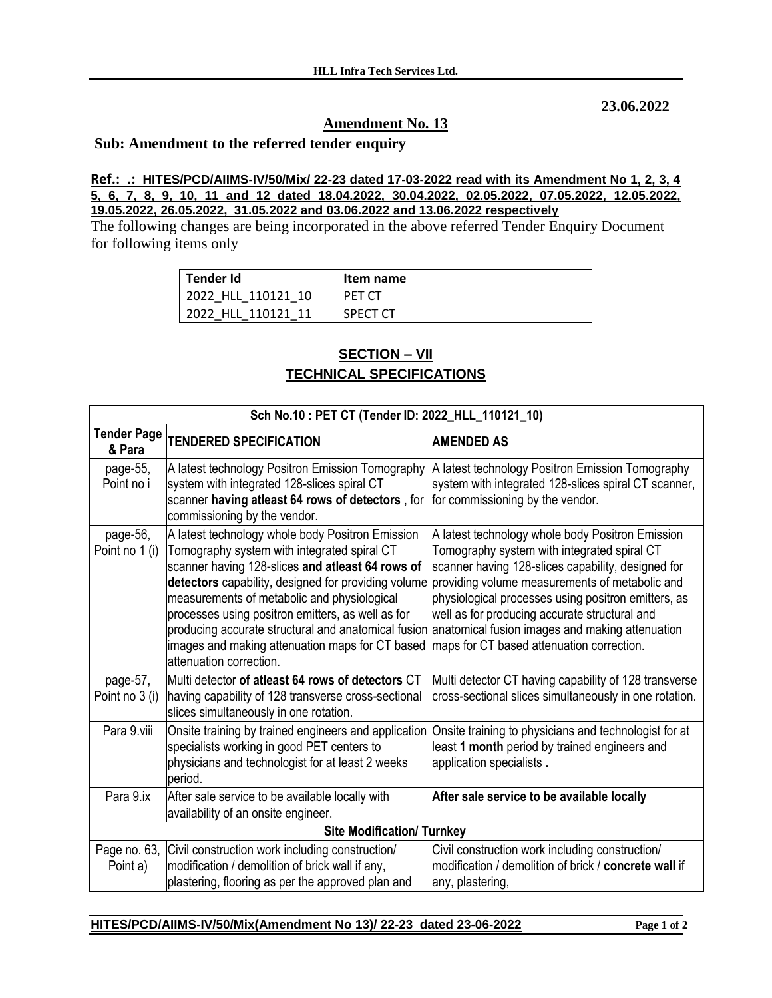**23.06.2022**

## **Amendment No. 13**

## **Sub: Amendment to the referred tender enquiry**

**Ref.: .: HITES/PCD/AIIMS-IV/50/Mix/ 22-23 dated 17-03-2022 read with its Amendment No 1, 2, 3, 4 5, 6, 7, 8, 9, 10, 11 and 12 dated 18.04.2022, 30.04.2022, 02.05.2022, 07.05.2022, 12.05.2022, 19.05.2022, 26.05.2022, 31.05.2022 and 03.06.2022 and 13.06.2022 respectively**

The following changes are being incorporated in the above referred Tender Enquiry Document for following items only

| <b>Tender Id</b>   | Item name       |
|--------------------|-----------------|
| 2022 HLL 110121 10 | PET CT          |
| 2022 HLL 110121 11 | <b>SPECT CT</b> |

## **SECTION – VII TECHNICAL SPECIFICATIONS**

| Sch No.10: PET CT (Tender ID: 2022_HLL_110121_10) |                                                                                                                                                                                                                                                                                                                                                                                                                                                     |                                                                                                                                                                                                                                                                                                                                                                                                                 |  |  |  |
|---------------------------------------------------|-----------------------------------------------------------------------------------------------------------------------------------------------------------------------------------------------------------------------------------------------------------------------------------------------------------------------------------------------------------------------------------------------------------------------------------------------------|-----------------------------------------------------------------------------------------------------------------------------------------------------------------------------------------------------------------------------------------------------------------------------------------------------------------------------------------------------------------------------------------------------------------|--|--|--|
| <b>Tender Page</b><br>& Para                      | <b>TENDERED SPECIFICATION</b>                                                                                                                                                                                                                                                                                                                                                                                                                       | <b>AMENDED AS</b>                                                                                                                                                                                                                                                                                                                                                                                               |  |  |  |
| page-55,<br>Point no i                            | A latest technology Positron Emission Tomography<br>system with integrated 128-slices spiral CT<br>scanner having atleast 64 rows of detectors, for<br>commissioning by the vendor.                                                                                                                                                                                                                                                                 | A latest technology Positron Emission Tomography<br>system with integrated 128-slices spiral CT scanner,<br>for commissioning by the vendor.                                                                                                                                                                                                                                                                    |  |  |  |
| page-56,<br>Point no 1 (i)                        | A latest technology whole body Positron Emission<br>Tomography system with integrated spiral CT<br>scanner having 128-slices and atleast 64 rows of<br>detectors capability, designed for providing volume<br>measurements of metabolic and physiological<br>processes using positron emitters, as well as for<br>producing accurate structural and anatomical fusion<br>images and making attenuation maps for CT based<br>attenuation correction. | A latest technology whole body Positron Emission<br>Tomography system with integrated spiral CT<br>scanner having 128-slices capability, designed for<br>providing volume measurements of metabolic and<br>physiological processes using positron emitters, as<br>well as for producing accurate structural and<br>anatomical fusion images and making attenuation<br>maps for CT based attenuation correction. |  |  |  |
| page-57,<br>Point no 3 (i)                        | Multi detector of atleast 64 rows of detectors CT<br>having capability of 128 transverse cross-sectional<br>slices simultaneously in one rotation.                                                                                                                                                                                                                                                                                                  | Multi detector CT having capability of 128 transverse<br>cross-sectional slices simultaneously in one rotation.                                                                                                                                                                                                                                                                                                 |  |  |  |
| Para 9.viii                                       | Onsite training by trained engineers and application<br>specialists working in good PET centers to<br>physicians and technologist for at least 2 weeks<br>period.                                                                                                                                                                                                                                                                                   | Onsite training to physicians and technologist for at<br>least 1 month period by trained engineers and<br>application specialists.                                                                                                                                                                                                                                                                              |  |  |  |
| Para 9.ix                                         | After sale service to be available locally with<br>availability of an onsite engineer.                                                                                                                                                                                                                                                                                                                                                              | After sale service to be available locally                                                                                                                                                                                                                                                                                                                                                                      |  |  |  |
|                                                   | <b>Site Modification/ Turnkey</b>                                                                                                                                                                                                                                                                                                                                                                                                                   |                                                                                                                                                                                                                                                                                                                                                                                                                 |  |  |  |
| Page no. 63,<br>Point a)                          | Civil construction work including construction/<br>modification / demolition of brick wall if any,<br>plastering, flooring as per the approved plan and                                                                                                                                                                                                                                                                                             | Civil construction work including construction/<br>modification / demolition of brick / concrete wall if<br>any, plastering,                                                                                                                                                                                                                                                                                    |  |  |  |